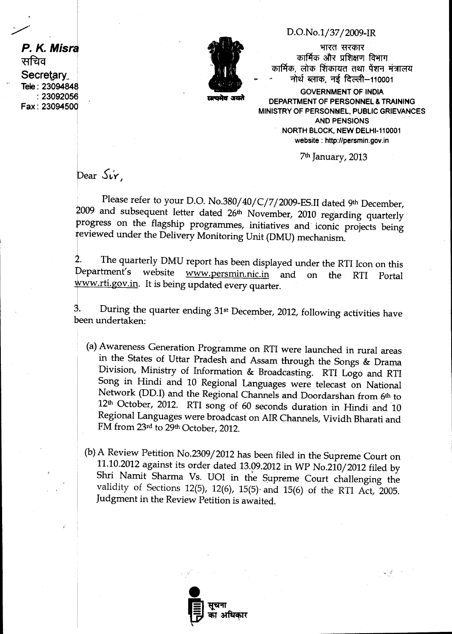**D.O.No.1/37/ 2009-IR** 

भारत सरकार कार्मिक और प्रशिक्षण विभाग कार्मिक, लोक शिकायत तथा पेंशन मंत्रालय नोर्थ ब्लाक, नई दिल्ली–110001

**GOVERNMENT OF INDIA DEPARTMENT OF PERSONNEL & TRAINING MINISTRY OF PERSONNEL, PUBLIC GRIEVANCES AND PENSIONS NORTH BLOCK, NEW DELHI-110001 website : http://persmin.gov.in** 

**7th January, 2013** 

 $\mathcal{E}_{\mathbf{r},\mathbf{r}}(\mathcal{G})$  .

 $\beta$ **b**ear  $\delta$ *i***r**.

**Please refer to your D.O. No.380/40/C/7/2009-ES.II dated 9th December, 2009 and subsequent letter dated 26th November, 2010 regarding quarterly progress on the flagship programmes, initiatives and iconic projects being reviewed under the Delivery Monitoring Unit (DMU) mechanism.** 

**. The quarterly DMU report has been displayed under the RTI Icon on this epartment's website www.persmin.nic.in and on the RTI Portal**  ww.rti.gov.in. It is being updated every quarter.

3. **During the quarter ending 31st December, 2012, following activities have been undertaken:** 

- **(a)Awareness Generation Programme on RTI were launched in rural areas**  in the States of Uttar Pradesh and Assam through the Songs & Drama **Division, Ministry of Information & Broadcasting. RTI Logo and RTI Song in Hindi and 10 Regional Languages were telecast on National Network (DD.I) and the Regional Channels and Doordarshan from 6th to 12th October, 2012. RTI song of 60 seconds duration in Hindi and 10 Regional Languages were broadcast on AIR Channels, Vividh Bharati and FM from 23rd to 29th October, 2012.**
- **(b)A Review Petition No.2309/ 2012 has been filed in the Supreme Court on 11.10.2012 against its order dated 13.09.2012 in WP No.210/2012 filed by Shri Namit Sharma Vs. UOI in the Supreme Court challenging the**  validity of Sections 12(5), 12(6), 15(5) and 15(6) of the RTI Act, 2005. Judgment in the Review Petition is awaited.



**P. K. Misra** सचिव **Secretary.. Tele: 23094840 :23092050 Fax : 23094500** 



**wmplir awl**